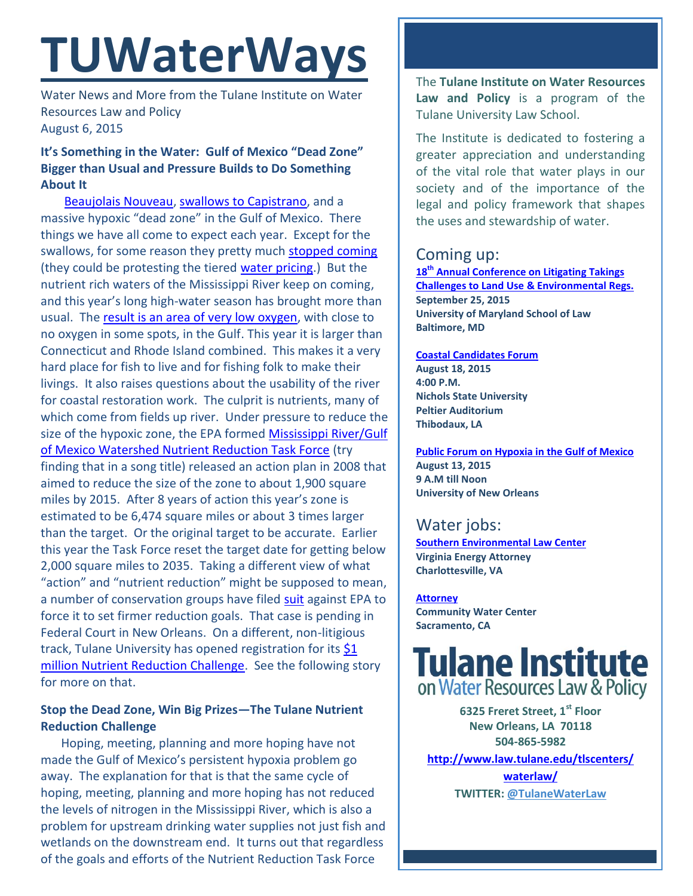# **TUWaterWays**

Water News and More from the Tulane Institute on Water Resources Law and Policy August 6, 2015

## **It's Something in the Water: Gulf of Mexico "Dead Zone" Bigger than Usual and Pressure Builds to Do Something About It**

[Beaujolais Nouveau,](http://www.beaujolaisnouveauday.com/) [swallows to Capistrano,](http://www.missionsjc.com/preservation/swallowsstory.php) and a massive hypoxic "dead zone" in the Gulf of Mexico. There things we have all come to expect each year. Except for the swallows, for some reason they pretty much [stopped coming](http://www.scpr.org/news/2015/02/23/50003/san-juan-capistrano-looks-for-new-ways-lure-back-s/) (they could be protesting the tiered [water pricing.](http://mavensnotebook.com/2015/07/23/water-rate-making-after-capistrano-taxpayers-association-v-san-juan-capistrano/)) But the nutrient rich waters of the Mississippi River keep on coming, and this year's long high-water season has brought more than usual. The [result is an area of very low oxygen,](http://www.nola.com/environment/index.ssf/2015/08/2015_gulf_dead_zone_larger_tha.html) with close to no oxygen in some spots, in the Gulf. This year it is larger than Connecticut and Rhode Island combined. This makes it a very hard place for fish to live and for fishing folk to make their livings. It also raises questions about the usability of the river for coastal restoration work. The culprit is nutrients, many of which come from fields up river. Under pressure to reduce the size of the hypoxic zone, the EPA formed Mississippi River/Gulf [of Mexico Watershed Nutrient Reduction Task Force](http://water.epa.gov/type/watersheds/named/msbasin/nutrient_strategies.cfm) (try finding that in a song title) released an action plan in 2008 that aimed to reduce the size of the zone to about 1,900 square miles by 2015. After 8 years of action this year's zone is estimated to be 6,474 square miles or about 3 times larger than the target. Or the original target to be accurate. Earlier this year the Task Force reset the target date for getting below 2,000 square miles to 2035. Taking a different view of what "action" and "nutrient reduction" might be supposed to mean, a number of conservation groups have filed [suit](http://www.nola.com/environment/index.ssf/2015/07/federal_judge_to_rehear_limite.html) against EPA to force it to set firmer reduction goals. That case is pending in Federal Court in New Orleans. On a different, non-litigious track, Tulane University has opened registration for its [\\$1](file:///C:/Users/msdavis/Documents/Institute%20Organization/Newsletter/Newsletter/Water%20Ways/2015/Re%20TUWaterWays%20May%2026%202015.msg)  [million Nutrient Reduction Challenge.](file:///C:/Users/msdavis/Documents/Institute%20Organization/Newsletter/Newsletter/Water%20Ways/2015/Re%20TUWaterWays%20May%2026%202015.msg) See the following story for more on that.

## **Stop the Dead Zone, Win Big Prizes—The Tulane Nutrient Reduction Challenge**

Hoping, meeting, planning and more hoping have not made the Gulf of Mexico's persistent hypoxia problem go away. The explanation for that is that the same cycle of hoping, meeting, planning and more hoping has not reduced the levels of nitrogen in the Mississippi River, which is also a problem for upstream drinking water supplies not just fish and wetlands on the downstream end. It turns out that regardless of the goals and efforts of the Nutrient Reduction Task Force

The **Tulane Institute on Water Resources Law and Policy** is a program of the Tulane University Law School.

The Institute is dedicated to fostering a greater appreciation and understanding of the vital role that water plays in our society and of the importance of the legal and policy framework that shapes the uses and stewardship of water.

# Coming up:

**18th [Annual Conference on Litigating Takings](http://forms.vermontlaw.edu/elc/landuse/Takings15/)  [Challenges to Land Use & Environmental Regs.](http://forms.vermontlaw.edu/elc/landuse/Takings15/) September 25, 2015 University of Maryland School of Law Baltimore, MD**

**[Coastal Candidates Forum](http://crcl.org/candidate-forum.html) August 18, 2015 4:00 P.M. Nichols State University Peltier Auditorium Thibodaux, LA**

**[Public Forum on Hypoxia in the Gulf of Mexico](http://www.law.tulane.edu/uploadedFiles/Institutes_and_Centers/Water_Resources_Law_and_Policy/Content/Public%20Workshop%20Gulf%20Hypoxia%208-13-15.pdf) August 13, 2015 9 A.M till Noon University of New Orleans**

# Water jobs:

**[Southern Environmental Law Center](http://vcnva.org/index.php/resources/job-opportunities?limitstart=0) Virginia Energy Attorney Charlottesville, VA**

**[Attorney](http://www.communitywatercenter.org/career_opportunities) Community Water Center Sacramento, CA**

# **Tulane Institute** on Water Resources Law & Policy

**6325 Freret Street, 1st Floor New Orleans, LA 70118 504-865-5982 [http://www.law.tulane.edu/tlscenters/](http://www.law.tulane.edu/tlscenters/waterlaw/) [waterlaw/](http://www.law.tulane.edu/tlscenters/waterlaw/) TWITTER: [@TulaneWaterLaw](http://www.twitter.com/TulaneWaterLaw)**